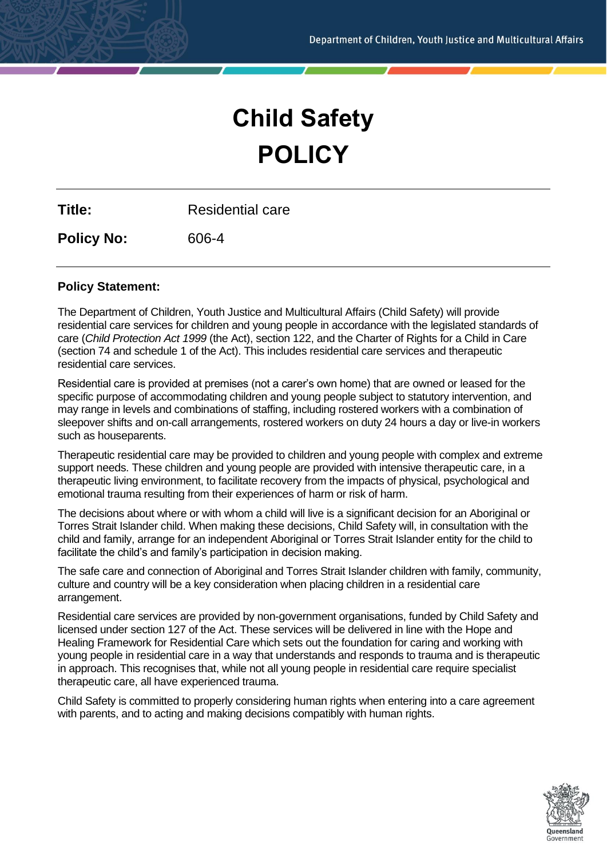# **Child Safety POLICY**

**Title:** Residential care

**Policy No:** 606-4

## **Policy Statement:**

The Department of Children, Youth Justice and Multicultural Affairs (Child Safety) will provide residential care services for children and young people in accordance with the legislated standards of care (*Child Protection Act 1999* (the Act), section 122, and the Charter of Rights for a Child in Care (section 74 and schedule 1 of the Act). This includes residential care services and therapeutic residential care services.

Residential care is provided at premises (not a carer's own home) that are owned or leased for the specific purpose of accommodating children and young people subject to statutory intervention, and may range in levels and combinations of staffing, including rostered workers with a combination of sleepover shifts and on-call arrangements, rostered workers on duty 24 hours a day or live-in workers such as houseparents.

Therapeutic residential care may be provided to children and young people with complex and extreme support needs. These children and young people are provided with intensive therapeutic care, in a therapeutic living environment, to facilitate recovery from the impacts of physical, psychological and emotional trauma resulting from their experiences of harm or risk of harm.

The decisions about where or with whom a child will live is a significant decision for an Aboriginal or Torres Strait Islander child. When making these decisions, Child Safety will, in consultation with the child and family, arrange for an independent Aboriginal or Torres Strait Islander entity for the child to facilitate the child's and family's participation in decision making.

The safe care and connection of Aboriginal and Torres Strait Islander children with family, community, culture and country will be a key consideration when placing children in a residential care arrangement.

Residential care services are provided by non-government organisations, funded by Child Safety and licensed under section 127 of the Act. These services will be delivered in line with the Hope and Healing Framework for Residential Care which sets out the foundation for caring and working with young people in residential care in a way that understands and responds to trauma and is therapeutic in approach. This recognises that, while not all young people in residential care require specialist therapeutic care, all have experienced trauma.

Child Safety is committed to properly considering human rights when entering into a care agreement with parents, and to acting and making decisions compatibly with human rights.

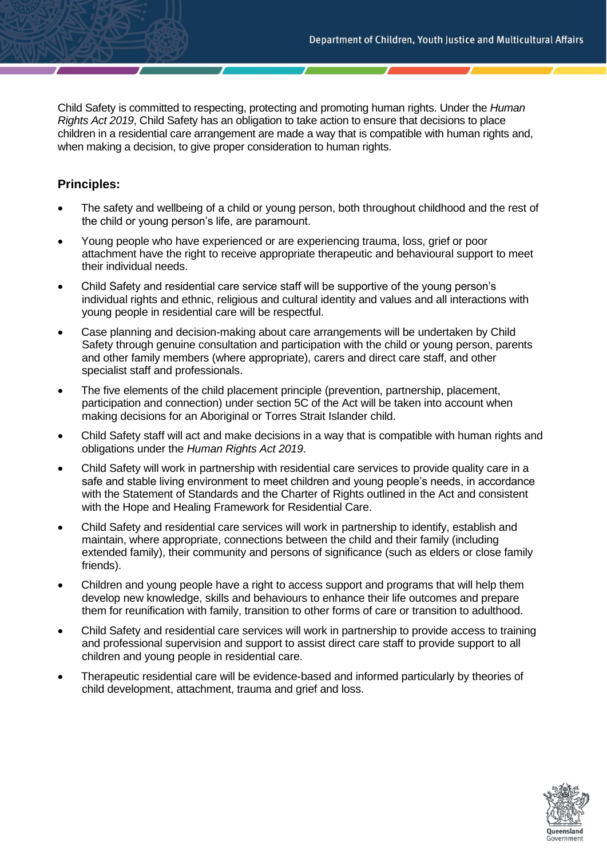Child Safety is committed to respecting, protecting and promoting human rights. Under the *Human Rights Act 2019*, Child Safety has an obligation to take action to ensure that decisions to place children in a residential care arrangement are made a way that is compatible with human rights and, when making a decision, to give proper consideration to human rights.

# **Principles:**

- The safety and wellbeing of a child or young person, both throughout childhood and the rest of the child or young person's life, are paramount.
- Young people who have experienced or are experiencing trauma, loss, grief or poor attachment have the right to receive appropriate therapeutic and behavioural support to meet their individual needs.
- Child Safety and residential care service staff will be supportive of the young person's individual rights and ethnic, religious and cultural identity and values and all interactions with young people in residential care will be respectful.
- Case planning and decision-making about care arrangements will be undertaken by Child Safety through genuine consultation and participation with the child or young person, parents and other family members (where appropriate), carers and direct care staff, and other specialist staff and professionals.
- The five elements of the child placement principle (prevention, partnership, placement, participation and connection) under section 5C of the Act will be taken into account when making decisions for an Aboriginal or Torres Strait Islander child.
- Child Safety staff will act and make decisions in a way that is compatible with human rights and obligations under the *Human Rights Act 2019*.
- Child Safety will work in partnership with residential care services to provide quality care in a safe and stable living environment to meet children and young people's needs, in accordance with the Statement of Standards and the Charter of Rights outlined in the Act and consistent with the Hope and Healing Framework for Residential Care.
- Child Safety and residential care services will work in partnership to identify, establish and maintain, where appropriate, connections between the child and their family (including extended family), their community and persons of significance (such as elders or close family friends).
- Children and young people have a right to access support and programs that will help them develop new knowledge, skills and behaviours to enhance their life outcomes and prepare them for reunification with family, transition to other forms of care or transition to adulthood.
- Child Safety and residential care services will work in partnership to provide access to training and professional supervision and support to assist direct care staff to provide support to all children and young people in residential care.
- Therapeutic residential care will be evidence-based and informed particularly by theories of child development, attachment, trauma and grief and loss.

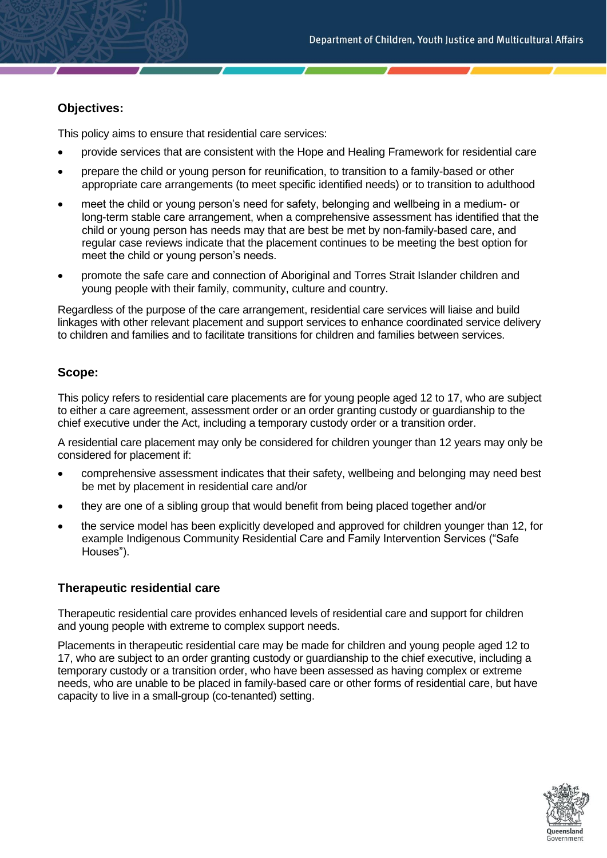## **Objectives:**

This policy aims to ensure that residential care services:

- provide services that are consistent with the Hope and Healing Framework for residential care
- prepare the child or young person for reunification, to transition to a family-based or other appropriate care arrangements (to meet specific identified needs) or to transition to adulthood
- meet the child or young person's need for safety, belonging and wellbeing in a medium- or long-term stable care arrangement, when a comprehensive assessment has identified that the child or young person has needs may that are best be met by non-family-based care, and regular case reviews indicate that the placement continues to be meeting the best option for meet the child or young person's needs.
- promote the safe care and connection of Aboriginal and Torres Strait Islander children and young people with their family, community, culture and country.

Regardless of the purpose of the care arrangement, residential care services will liaise and build linkages with other relevant placement and support services to enhance coordinated service delivery to children and families and to facilitate transitions for children and families between services.

## **Scope:**

This policy refers to residential care placements are for young people aged 12 to 17, who are subject to either a care agreement, assessment order or an order granting custody or guardianship to the chief executive under the Act, including a temporary custody order or a transition order.

A residential care placement may only be considered for children younger than 12 years may only be considered for placement if:

- comprehensive assessment indicates that their safety, wellbeing and belonging may need best be met by placement in residential care and/or
- they are one of a sibling group that would benefit from being placed together and/or
- the service model has been explicitly developed and approved for children younger than 12, for example Indigenous Community Residential Care and Family Intervention Services ("Safe Houses").

#### **Therapeutic residential care**

Therapeutic residential care provides enhanced levels of residential care and support for children and young people with extreme to complex support needs.

Placements in therapeutic residential care may be made for children and young people aged 12 to 17, who are subject to an order granting custody or guardianship to the chief executive, including a temporary custody or a transition order, who have been assessed as having complex or extreme needs, who are unable to be placed in family-based care or other forms of residential care, but have capacity to live in a small-group (co-tenanted) setting.

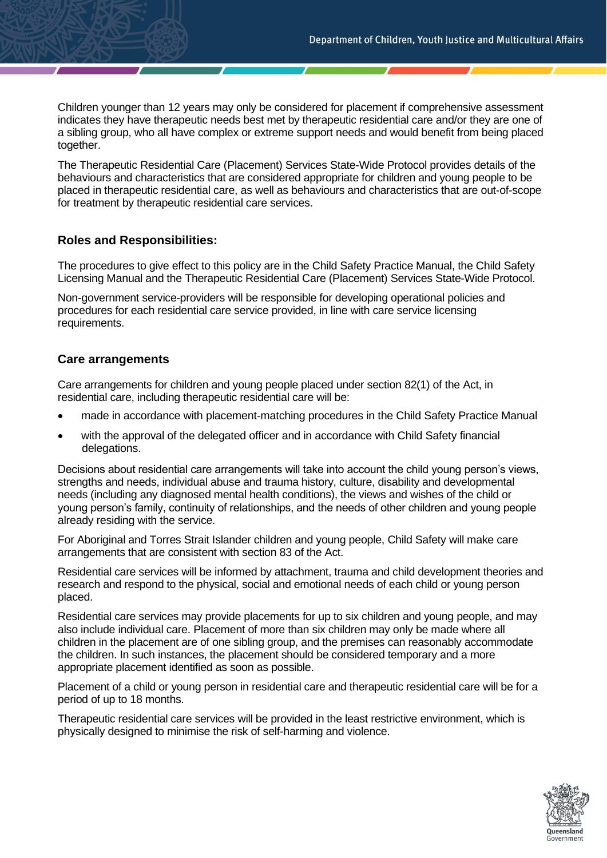Children younger than 12 years may only be considered for placement if comprehensive assessment indicates they have therapeutic needs best met by therapeutic residential care and/or they are one of a sibling group, who all have complex or extreme support needs and would benefit from being placed together.

The Therapeutic Residential Care (Placement) Services State-Wide Protocol provides details of the behaviours and characteristics that are considered appropriate for children and young people to be placed in therapeutic residential care, as well as behaviours and characteristics that are out-of-scope for treatment by therapeutic residential care services.

#### **Roles and Responsibilities:**

The procedures to give effect to this policy are in the Child Safety Practice Manual, the Child Safety Licensing Manual and the Therapeutic Residential Care (Placement) Services State-Wide Protocol.

Non-government service-providers will be responsible for developing operational policies and procedures for each residential care service provided, in line with care service licensing requirements.

#### **Care arrangements**

Care arrangements for children and young people placed under section 82(1) of the Act, in residential care, including therapeutic residential care will be:

- made in accordance with placement-matching procedures in the Child Safety Practice Manual
- with the approval of the delegated officer and in accordance with Child Safety financial delegations.

Decisions about residential care arrangements will take into account the child young person's views, strengths and needs, individual abuse and trauma history, culture, disability and developmental needs (including any diagnosed mental health conditions), the views and wishes of the child or young person's family, continuity of relationships, and the needs of other children and young people already residing with the service.

For Aboriginal and Torres Strait Islander children and young people, Child Safety will make care arrangements that are consistent with section 83 of the Act.

Residential care services will be informed by attachment, trauma and child development theories and research and respond to the physical, social and emotional needs of each child or young person placed.

Residential care services may provide placements for up to six children and young people, and may also include individual care. Placement of more than six children may only be made where all children in the placement are of one sibling group, and the premises can reasonably accommodate the children. In such instances, the placement should be considered temporary and a more appropriate placement identified as soon as possible.

Placement of a child or young person in residential care and therapeutic residential care will be for a period of up to 18 months.

Therapeutic residential care services will be provided in the least restrictive environment, which is physically designed to minimise the risk of self-harming and violence.

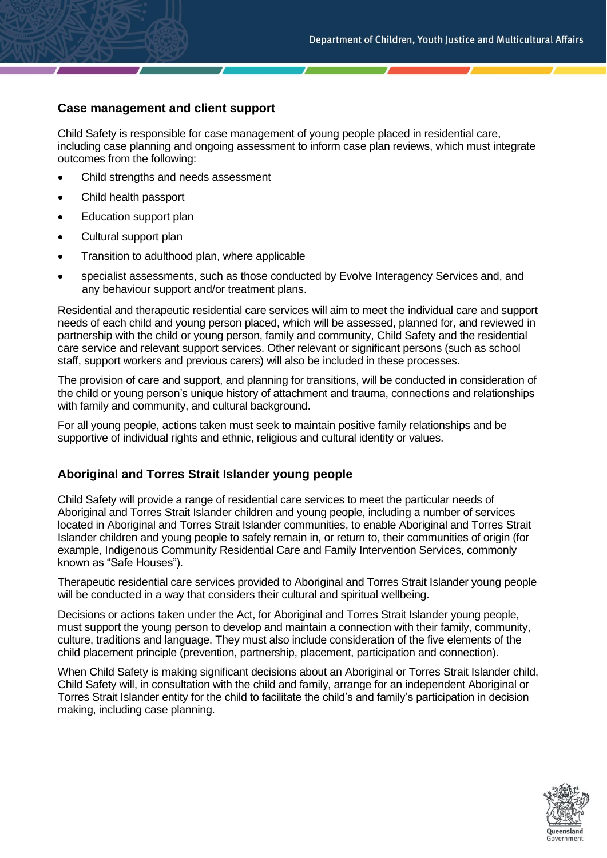#### **Case management and client support**

Child Safety is responsible for case management of young people placed in residential care, including case planning and ongoing assessment to inform case plan reviews, which must integrate outcomes from the following:

- Child strengths and needs assessment
- Child health passport
- Education support plan
- Cultural support plan
- Transition to adulthood plan, where applicable
- specialist assessments, such as those conducted by Evolve Interagency Services and, and any behaviour support and/or treatment plans.

Residential and therapeutic residential care services will aim to meet the individual care and support needs of each child and young person placed, which will be assessed, planned for, and reviewed in partnership with the child or young person, family and community, Child Safety and the residential care service and relevant support services. Other relevant or significant persons (such as school staff, support workers and previous carers) will also be included in these processes.

The provision of care and support, and planning for transitions, will be conducted in consideration of the child or young person's unique history of attachment and trauma, connections and relationships with family and community, and cultural background.

For all young people, actions taken must seek to maintain positive family relationships and be supportive of individual rights and ethnic, religious and cultural identity or values.

#### **Aboriginal and Torres Strait Islander young people**

Child Safety will provide a range of residential care services to meet the particular needs of Aboriginal and Torres Strait Islander children and young people, including a number of services located in Aboriginal and Torres Strait Islander communities, to enable Aboriginal and Torres Strait Islander children and young people to safely remain in, or return to, their communities of origin (for example, Indigenous Community Residential Care and Family Intervention Services, commonly known as "Safe Houses").

Therapeutic residential care services provided to Aboriginal and Torres Strait Islander young people will be conducted in a way that considers their cultural and spiritual wellbeing.

Decisions or actions taken under the Act, for Aboriginal and Torres Strait Islander young people, must support the young person to develop and maintain a connection with their family, community, culture, traditions and language. They must also include consideration of the five elements of the child placement principle (prevention, partnership, placement, participation and connection).

When Child Safety is making significant decisions about an Aboriginal or Torres Strait Islander child, Child Safety will, in consultation with the child and family, arrange for an independent Aboriginal or Torres Strait Islander entity for the child to facilitate the child's and family's participation in decision making, including case planning.

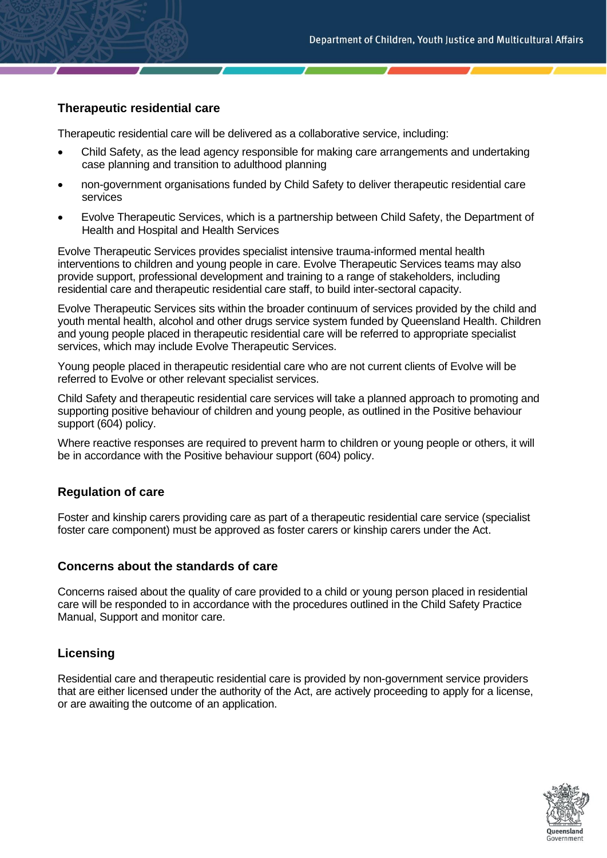#### **Therapeutic residential care**

Therapeutic residential care will be delivered as a collaborative service, including:

- Child Safety, as the lead agency responsible for making care arrangements and undertaking case planning and transition to adulthood planning
- non-government organisations funded by Child Safety to deliver therapeutic residential care services
- Evolve Therapeutic Services, which is a partnership between Child Safety, the Department of Health and Hospital and Health Services

Evolve Therapeutic Services provides specialist intensive trauma-informed mental health interventions to children and young people in care. Evolve Therapeutic Services teams may also provide support, professional development and training to a range of stakeholders, including residential care and therapeutic residential care staff, to build inter-sectoral capacity.

Evolve Therapeutic Services sits within the broader continuum of services provided by the child and youth mental health, alcohol and other drugs service system funded by Queensland Health. Children and young people placed in therapeutic residential care will be referred to appropriate specialist services, which may include Evolve Therapeutic Services.

Young people placed in therapeutic residential care who are not current clients of Evolve will be referred to Evolve or other relevant specialist services.

Child Safety and therapeutic residential care services will take a planned approach to promoting and supporting positive behaviour of children and young people, as outlined in the Positive behaviour support (604) policy.

Where reactive responses are required to prevent harm to children or young people or others, it will be in accordance with the Positive behaviour support (604) policy.

#### **Regulation of care**

Foster and kinship carers providing care as part of a therapeutic residential care service (specialist foster care component) must be approved as foster carers or kinship carers under the Act.

#### **Concerns about the standards of care**

Concerns raised about the quality of care provided to a child or young person placed in residential care will be responded to in accordance with the procedures outlined in the Child Safety Practice Manual, Support and monitor care.

#### **Licensing**

Residential care and therapeutic residential care is provided by non-government service providers that are either licensed under the authority of the Act, are actively proceeding to apply for a license, or are awaiting the outcome of an application.

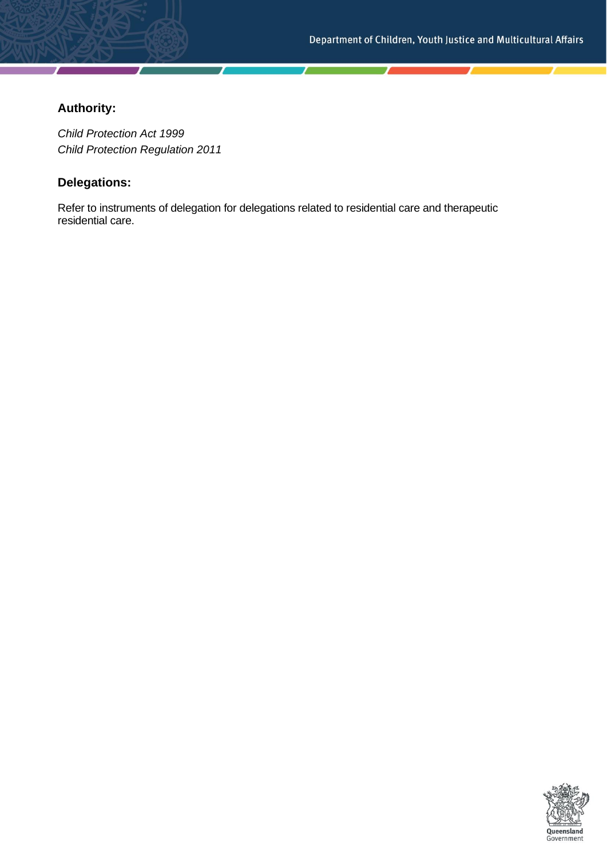# **Authority:**

*Child Protection Act 1999 Child Protection Regulation 2011*

# **Delegations:**

Refer to instruments of delegation for delegations related to residential care and therapeutic residential care.